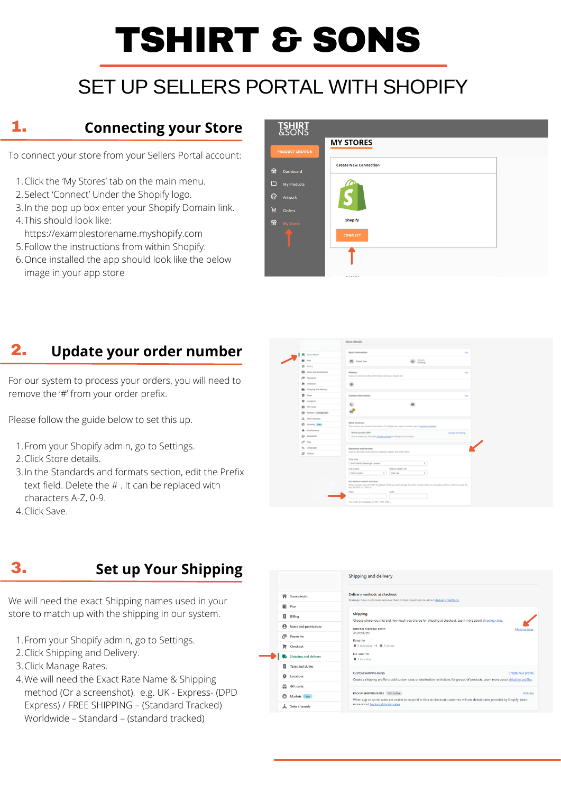# TSHIRT & SONS

# SET UP SELLERS PORTAL WITH SHOPIFY

### 1. **Connecting your Store**

- 1. Click the 'My Stores' tab on the main menu.
- 2. Select 'Connect' Under the Shopify logo.
- 3. In the pop up box enter your Shopify Domain link.
- This should look like: 4.
- https://examplestorename.myshopify.com
- Follow the instructions from within Shopify. 5.
- 6. Once installed the app should look like the below image in your app store

#### **TSHIRT**<br>&SONS **MY STORES PRODUCT CREATOR Create New Connection** a Dashboard My Products ⊙ Artwork 휴 orders Shopify **en** My Stores **CONNECT**

For our system to process your orders, you will need to remove the '#' from your order prefix.

To connect your store from your Sellers Portal account:

#### 2. **Update your order number**

- 1. From your Shopify admin, go to Settings.
- 2. Click Shipping and Delivery.
- 3. Click Manage Rates.
- We will need the Exact Rate Name & Shipping 4. method (Or a screenshot). e.g. UK - Express- (DPD Express) / FREE SHIPPING – (Standard Tracked) Worldwide – Standard – (standard tracked)

|  |                                     | <b>Shipping and delivery</b>                                                                                                                                                                |
|--|-------------------------------------|---------------------------------------------------------------------------------------------------------------------------------------------------------------------------------------------|
|  | m<br><b>Store details</b>           | Delivery methods at checkout<br>Manage how customers receive their orders. Learn more about delivery methods.                                                                               |
|  | r<br>Plan                           |                                                                                                                                                                                             |
|  | $\vert$ S $\vert$<br><b>Billing</b> | <b>Shipping</b><br>Choose where you ship and how much you charge for shipping at checkout. Learn more about shipping rates.                                                                 |
|  | A<br><b>Users and permissions</b>   | <b>GENERAL SHIPPING RATES</b><br>Manage rates                                                                                                                                               |
|  | Payments<br>◚                       | All products<br>Rates for                                                                                                                                                                   |
|  | 晨<br>Checkout                       | $\bullet$ 3 locations $\rightarrow$ $\bullet$ 3 zones                                                                                                                                       |
|  | <b>Shipping and delivery</b><br>D.  | No rates for<br><b>Q</b> 1 location                                                                                                                                                         |
|  | <b>Taxes and duties</b>             |                                                                                                                                                                                             |
|  | o<br><b>Locations</b>               | Create new profile<br><b>CUSTOM SHIPPING RATES</b><br>Create a shipping profile to add custom rates or destination restrictions for groups of products. Learn more about shipping profiles. |
|  | 쓺<br><b>Gift cards</b>              |                                                                                                                                                                                             |
|  | ⊕<br>Markets New                    | <b>BACKUP SHIPPING RATES</b> Not active<br>Activate<br>When app or carrier rates are unable to respond in time at checkout, customers will see default rates provided by Shopify. Learn     |
|  | <b>Sales channels</b>               | more about backup shipping rates.                                                                                                                                                           |

Please follow the guide below to set this up.

|                                   | Shore details                                                                                                                                                                                                     |                  |  |
|-----------------------------------|-------------------------------------------------------------------------------------------------------------------------------------------------------------------------------------------------------------------|------------------|--|
|                                   |                                                                                                                                                                                                                   |                  |  |
| <b>The Store details</b>          | Barge and providents                                                                                                                                                                                              | <b>Select</b>    |  |
| 厥<br><b>County</b>                | <b>GE</b> Current<br><b>FELL</b> Scratter Seas                                                                                                                                                                    |                  |  |
| <b>C</b> time                     |                                                                                                                                                                                                                   |                  |  |
| <b>ER</b> Vort-still permissions  | <b>Bolivian Co.</b><br>Used on customer order conferentiates and your Depthy Int.                                                                                                                                 | <b>Balti</b>     |  |
| <b>Common</b>                     |                                                                                                                                                                                                                   |                  |  |
| <b>BE Charlest</b>                | o.                                                                                                                                                                                                                |                  |  |
| <b>Blue Shipping and delivery</b> |                                                                                                                                                                                                                   |                  |  |
| <b>Die Kanse</b>                  | Contact information:                                                                                                                                                                                              | <b>September</b> |  |
| <b>Q</b> teachers                 | <b>SER</b>                                                                                                                                                                                                        |                  |  |
| <b>The Seconds</b>                |                                                                                                                                                                                                                   |                  |  |
| <b>Co.</b> Markets Control coord  |                                                                                                                                                                                                                   |                  |  |
| A. Tales channels                 |                                                                                                                                                                                                                   |                  |  |
| (C) Domain (Tax)                  | <b>More currency</b><br>The currency your products are sold in. To sharing your paymet currency, go to each acts, additions                                                                                       |                  |  |
| <b>Britain Service</b>            | British pounds 100%                                                                                                                                                                                               | Change formating |  |
| for Metabolic                     | The walked your first sale. Contact surveys to sharpe your currency.                                                                                                                                              |                  |  |
| at ma                             |                                                                                                                                                                                                                   |                  |  |
| No. Languages                     | Standards and formats:                                                                                                                                                                                            |                  |  |
| <b>EP Automo-</b>                 | Used to catching product prices, designing weights, and priles times.                                                                                                                                             |                  |  |
|                                   | <b><i><u>Figure Control</u></i></b>                                                                                                                                                                               |                  |  |
|                                   | ×.<br>sind visible fatesvant lander.                                                                                                                                                                              |                  |  |
|                                   | <b>Detail supporters</b><br>with system.<br><b>Charles</b><br>$\alpha$<br><b>REPORT SUPPORT</b>                                                                                                                   |                  |  |
|                                   |                                                                                                                                                                                                                   |                  |  |
|                                   | spot concerns to reserve controlled a<br>Childen Humilders start at #1001 by defects. White you can't change the order Humilder Staff, you can add a profile or sufficies or early Ch.<br>the Terrary of College" |                  |  |
|                                   | <b>Brazilio</b><br><b>Suffice</b>                                                                                                                                                                                 |                  |  |
|                                   |                                                                                                                                                                                                                   |                  |  |
|                                   | Your order 10 oil appear at 1001, 1002, 1003                                                                                                                                                                      |                  |  |

- 1. From your Shopify admin, go to Settings.
- 2. Click Store details.
- 3. In the Standards and formats section, edit the Prefix text field. Delete the # . It can be replaced with characters A-Z, 0-9.
- 4. Click Save.

### 3. **Set up Your Shipping**

We will need the exact Shipping names used in your store to match up with the shipping in our system.